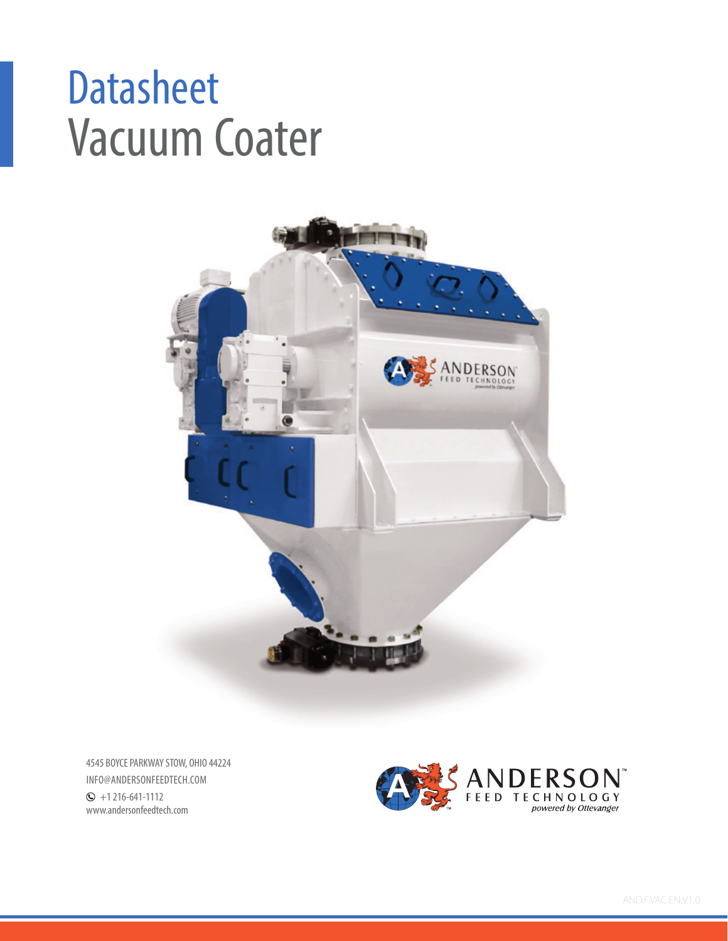# Vacuum Coater **Datasheet**



4545 BOYCE PARKWAY STOW, OHIO 44224 INFO@ANDERSONFEEDTECH.COM  $\odot$  +1 216-641-1112 www.andersonfeedtech.com